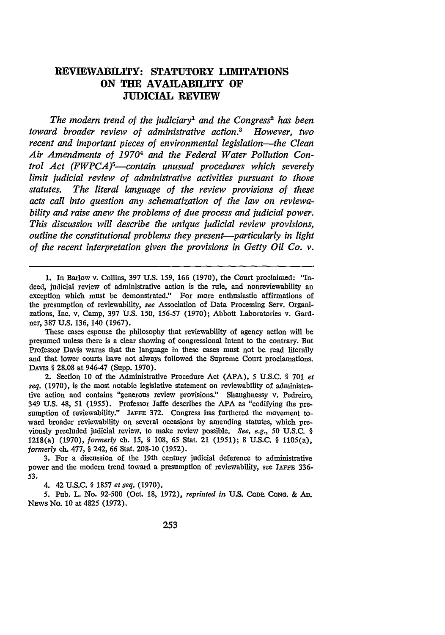# **REVIEWABILITY: STATUTORY LIMITATIONS ON THE AVAILABILITY OF JUDICIAL REVIEW**

*The modern trend of the judiciary1 and the Congress2* has *been toward broader review of administrative action.8 However, two recent and important pieces of environmental legislation-the Clean Air Amendments of* 19704 *and the Federal Water Pollution Control Act (FWPCA)5 -contain unusual procedures which severely limit judicial review of administrative activities pursuant to those statutes. The literal language of the review provisions of these acts call into question any schematization of the law on reviewability and raise anew the problems of due process and judicial power. This discussion will describe the unique judicial review provisions, outline the constitutional problems they present-particularly in light of the recent interpretation given the provisions in Getty Oil Co. v.*

**1.** In Barlow v. Collins, 397 **U.S.** 159, **166 (1970),** the Court proclaimed: "Indeed, judicial review of administrative action is the rule, and nonreviewability an exception which must be demonstrated." For more enthusiastic affirmations of the presumption of reviewability, *see* Association of Data Processing Serv. Organizations, Inc. v. Camp, 397 U.S. 150, 156-57 (1970); Abbott Laboratories v. Gardner, 387 U.S. 136, 140 (1967).

These cases espouse the philosophy that reviewability of agency action will be presumed unless there is a clear showing of congressional intent to the contrary. But Professor Davis warns that the language in these cases must not be read literally and that lower courts have not always followed the Supreme Court proclamations. DAvis § 28.08 at 946-47 (Supp. 1970).

2. Section 10 of the Administrative Procedure Act (APA), 5 U.S.C. § **701** *et seq.* (1970), is the most notable legislative statement on reviewability of administrative action and contains "generous review provisions." Shaughnessy v. Pedreiro, 349 U.S. 48, *51 (1955).* Professor Jaffe describes the **APA** as "codifying the presumption of reviewability." JAFFE 372. Congress has furthered the movement toward broader reviewability on several occasions by amending statutes, which previously precluded judicial review, to make review possible. *See, e.g., 50* U.S.C. § 1218(a) (1970), *formerly ch.* 15, § 108, 65 Stat. 21 (1951); 8 U.S.C. § 1105(a), *formerly* ch. 477, § 242, 66 Stat. 208-10 (1952).

**3.** For a discussion of the 19th century judicial deference to administrative power and the modem trend toward a presumption of reviewability, see **JAFFE** 336- 53.

4. 42 U.S.C. § 1857 *et seq.* (1970).

5. Pub. L. No. 92-500 (Oct. **18,** 1972), *reprinted in* U.S. CODE CoNo. & **AD.** NEWS No. 10 at 4825 (1972).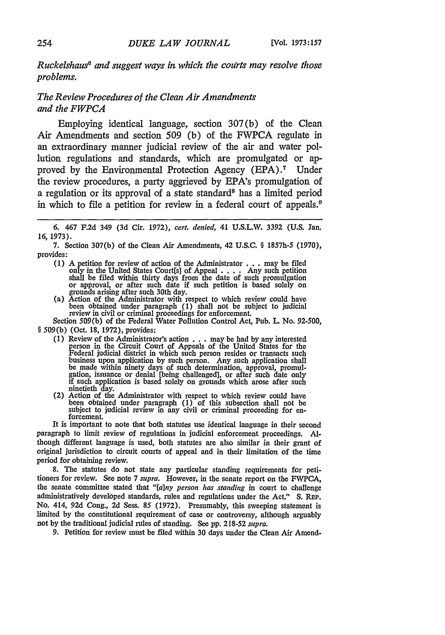*Ruckelshaus6 and suggest ways in which the colrts may resolve those problems.*

## *The Review Procedures of the Clean Air Amendments and the FWPCA*

Employing identical language, section 307(b) of the Clean Air Amendments and section 509 (b) of the FWPCA regulate in an extraordinary manner judicial review of the air and water pollution regulations and standards, which are promulgated or approved by the Environmental Protection Agency (EPA) **.** Under the review procedures, a party aggrieved by EPA's promulgation of a regulation or its approval of a state standard<sup>8</sup> has a limited period in which to file a petition for review in a federal court of appeals.<sup>9</sup>

*6.* 467 F.2d 349 (3d Cir. 1972), *cert. denied,* 41 U.S.L.W. 3392 (U.S. Jan. 16, 1973).

7. Section 307(b) of the Clean Air Amendments, 42 U.S.C. § 1857h-5 (1970), provides:

- (1) A petition for review of action of the Administrator . . . may be filed only in the United States Court[s] of Appeal . **. .** . Any such petition shall be filed within thirty days from the date of such promulgation<br>or approval, or after such date if such petition is based solely on<br>grounds arising after such 30th day.<br>(a) Action of the Administrator with respect to
- been obtained under paragraph (1) shall not be subject to judicial review in civil or criminal proceedings for enforcement.

Section 509(b) of the Federal Water Pollution Control Act, Pub. L. No. 92-500, § 509(b) (Oct. 18, 1972), provides:

- (1) Review of the Administrator's action **. . .** may be had by any interested person in the Circuit Court of Appeals of the United States for the Federal judicial district in which such person resides or transacts such business upon application by such person. Any such application shall be made within ninety days of such determination, approval, promul-<br>gation, issuance or denial [being challenged], or after such date only<br>if such application is based solely on grounds which arose after such ninetieth day.<br>(2) Action of the Administrator with respect to which review could have
- been obtained under paragraph (1) of this subsection shall not be subject to judicial review in any civil or criminal proceeding for enforcement. It is important to note that both statutes use identical language in their second

paragraph to limit review of regulations in judicial enforcement proceedings. **Al**though different language is used, both statutes are also similar in their grant of original jurisdiction to circuit courts of appeal and in their limitation of the time period for obtaining review.

8. The statutes do not state any particular standing requirements for petitioners for review. See note 7 *supra.* However, in the senate report on the FWPCA, the senate committee stated that *"[a~ny person has standing* in court to challenge administratively developed standards, rules and regulations under the Act." **S.** REP. No. 414, 92d Cong., 2d Sess. 85 (1972). Presumably, this sweeping statement is limited by the constitutional requirement of case or controversy, although arguably not by the traditional judicial rules of standing. See **pp.** 218-52 supra.

9. Petition for review must be filed within **30** days under the Clean Air Amend-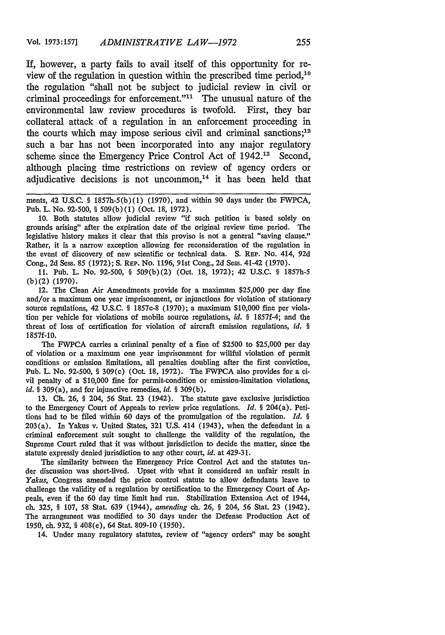If, however, a party fails to avail itself of this opportunity for review of the regulation in question within the prescribed time period,'0 the regulation "shall not be subject to judicial review in civil or criminal proceedings for enforcement."<sup>11</sup> The unusual nature of the environmental law review procedures is twofold. First, they bar collateral attack of a regulation in an enforcement proceeding in the courts which may impose serious civil and criminal sanctions;<sup>12</sup> such a bar has not been incorporated into any major regulatory scheme since the Emergency Price Control Act of 1942.<sup>13</sup> Second, although placing time restrictions on review of agency orders or adjudicative decisions is not uncommon, $14$  it has been held that

ments, 42 U.S.C. § 1857h-5(b)(1) (1970), and within 90 days under the FWPCA, Pub. L. No. 92-500, § 509(b) (1) (Oct. 18, 1972).

**10.** Both statutes allow judicial review "if such petition is based solely on grounds arising" after the expiration date of the original review time period. The legislative history makes it clear that this proviso is not a general "saving clause." Rather, it is a narrow exception allowing for reconsideration of the regulation in the event of discovery of new scientific or technical data. S. REP. No. 414, 92d Cong., 2d Sess. 85 (1972); **S.** REP. No. 1196, 91st Cong., 2d Sess. 41-42 (1970).

11. Pub. L. No. 92-500, § 509(b)(2) (Oct. 18, 1972); 42 U.S.C. § 1857h-5 (b) (2) (1970).

12. The Clean Air Amendments provide for a maximum \$25,000 per day fine and/or a maximum one year imprisonment, or injunctions for violation of stationary source regulations, 42 U.S.C. § 1857c-8 (1970); a maximum \$10,000 fine per violation per vehicle for violations of mobile source regulations, *id.* § 1857f-4; and the threat of loss of certification for violation of aircraft emission regulations, *id. §* 1857f-10.

The FWPCA carries a criminal penalty of a fine of \$2500 to \$25,000 per day of violation or a maximum one year imprisonment for willful violation of permit conditions or emission limitations, all penalties doubling after the first conviction, Pub. L. No. 92-500, § 309(c) (Oct. 18, 1972). The FWPCA also provides for a civil penalty of a \$10,000 fine for permit-condition or emission-limitation violations, *id. §* 309(a), and for injunctive remedies, *id. §* 309(b).

13. **Ch.** 26, § 204, 56 Stat. 23 (1942). The statute gave exclusive jurisdiction to the Emergency Court of Appeals to review price regulations. *Id.* § 204(a). Petitions had to be filed within 60 days of the promulgation of the regulation. *Id. §* 203(a). In Yakus v. United States, 321 U.S. 414 (1943), when the defendant in a criminal enforcement suit sought to challenge the validity of the regulation, the Supreme Court ruled that it was without jurisdiction to decide the matter, since the statute expressly denied jurisdiction to any other court, *id.* at 429-31.

The similarity between the Emergency Price Control Act and the statutes under discussion was short-lived. Upset with what it considered an unfair result in *Yakus,* Congress amended the price control statute to allow defendants leave to challenge the validity of a regulation by certification to the Emergency Court of Appeals, even if the 60 day time limit had run. Stabilization Extension Act of 1944, ch. 325, § 107, 58 Stat. 639 (1944), *amending* ch. 26, § 204, 56 Stat. 23 (1942). The arrangement was modified to 30 days under the Defense Production Act of 1950, ch. 932, § 408(e), 64 Stat. 809-10 (1950).

14. Under many regulatory statutes, review of "agency orders" may be sought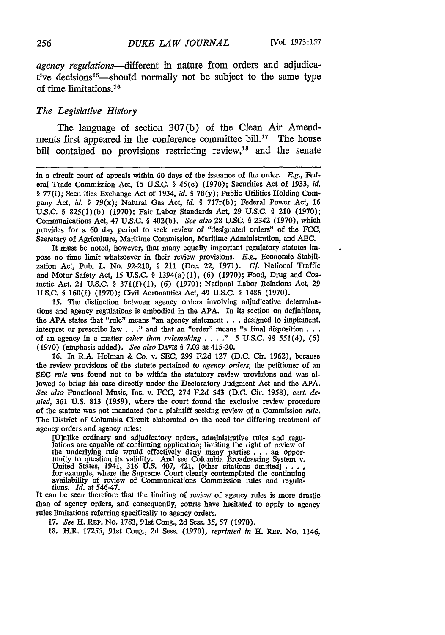*agency regulations-different* in nature from orders and adjudicative decisions<sup>15</sup>—should normally not be subject to the same type of time limitations.<sup>16</sup>

#### *The Legislative History*

The language of section 307(b) of the Clean Air Amendments first appeared in the conference committee bill.<sup>17</sup> The house bill contained no provisions restricting review, $18$  and the senate

in a circuit court of appeals within 60 days of the issuance of the order. *E.g.,* Federal Trade Commission Act, 15 U.S.C. § 45(c) (1970); Securities Act of 1933, *id.* § 77(i); Securities Exchange Act of 1934, *id. §* 78(y); Public Utilities Holding Company Act, *id. §* 79(x); Natural Gas *Act, id.* § 717r(b); Federal Power Act, 16 U.S.C. § 825(1)(b) (1970); Fair Labor Standards Act, **29** U.S.C. § 210 (1970); Communications Act, 47 **U.S.C.** § 402(b). *See also* **28 U.SC.** § 2342 **(1970),** which provides for a 60 day period to seek review of "designated orders" of the **FCC,** Secretary of Agriculture, Maritime Commission, Maritime Administration, and **AEC.**

It must be noted, however, that many equally important regulatory statutes impose no time limit whatsoever in their review provisions. *E.g.,* Economic Stabilization Act, Pub. L. No. 92-210, § 211 (Dec. 22, 1971). *Cf.* National Traffic and Motor Safety Act, 15 U.S.C. § 1394(a)(1), **(6)** (1970); Food, Drug and Cosmetic Act. 21 U.S.C. § 371(f) (1), (6) (1970); National Labor Relations Act, **29** U.S.C. § 160(f) (1970); Civil Aeronautics Act, 49 U.S.C. § 1486 (1970).

15. The distinction between agency orders involving adjudicative determinations and agency regulations is embodied in the APA. In its section on definitions, the **APA** states that "rule" means "an agency statement **...** designed to implement, interpret or prescribe law . . ." and that an "order" means "a final disposition . . . of an agency in a matter *other than rulemaking* . **. . ."** 5 U.S.C. §§ *551(4), (6)* (1970) (emphasis added). *See also* DAviS § 7.03 at 415-20.

**16.** In R.A. Holman **&** Co. v. **SEC, 299** F.2d **127** (D.C. Cir. 1962), because the review provisions of the statute pertained to *agency orders,* the petitioner of an **SEC** *rule* was found not to be within the statutory review provisions and was allowed to bring his case directly under the Declaratory Judgment Act and the APA. *See also* Functional Music, Inc. v. FCC, 274 F.2d 543 (D.C. Cir. *1958), cert. denied,* 361 U.S. 813 (1959), where the court found the exclusive review procedure of the statute was not mandated for a plaintiff seeking review of a Commission *rule.* The District of Columbia Circuit elaborated on the need for differing treatment of agency orders and agency rules:

[Uinlike ordinary and adjudicatory orders, administrative rules and regu- lations are capable of continuing application; limiting the right of review of the underlying rule would effectively deny many parties  $\ldots$  an opportunity to question its validity. And see Columbia Broadcasting System v.<br>United States, 1941, 316 U.S. 407, 421, [other citations omitted]  $\ldots$ , for e availability of review of Communications Commission rules and regula- tions. *Id.* at 546-47. It can be seen therefore that the limiting of review of agency rules is more drastic

than of agency orders, and consequently, courts have hesitated to apply to agency rules limitations referring specifically to agency orders.

17. *See* H. REP. No. 1783, 91st Cong., 2d Sess. *35,* 57 (1970).

18. H.R. 17255, 91st Cong., 2d Sess. (1970), *reprinted in* H. REP. No. 1146,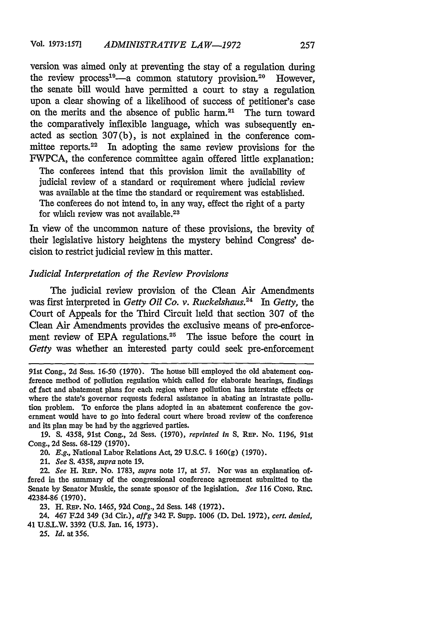version was aimed only at preventing the stay of a regulation during the review process<sup>19</sup> $-a$  common statutory provision.<sup>20</sup> However, the senate bill would have permitted a court to stay a regulation upon a clear showing of a likelihood of success of petitioner's case on the merits and the absence of public harm.<sup>21</sup> The turn toward the comparatively inflexible language, which was subsequently enacted as section 307(b), is not explained in the conference committee reports.<sup>22</sup> In adopting the same review provisions for the FWPCA, the conference committee again offered little explanation:

The conferees intend that this provision limit the availability of judicial review of a standard or requirement where judicial review was available at the time the standard or requirement was established. The conferees do not intend to, in any way, effect the right of a party for which review was not available.<sup>23</sup>

In view of the uncommon nature of these provisions, the brevity of their legislative history heightens the mystery behind Congress' decision to restrict judicial review in this matter.

#### *Judicial Interpretation of the Review Provisions*

The judicial review provision of the Clean Air Amendments was first interpreted in *Getty Oil Co. v. Ruckelshaus.24 In Getty, the* Court of Appeals for the Third Circuit held that section 307 of the Clean Air Amendments provides the exclusive means of pre-enforcement review of EPA regulations.<sup>25</sup> The issue before the court in *Getty* was whether an interested party could seek pre-enforcement

91st Cong., 2d Sess. 16-50 (1970). The house bill employed the old abatement conference method of pollution regulation which called for elaborate hearings, findings of fact and abatement plans for each region where pollution has interstate effects or where the state's governor requests federal assistance in abating an intrastate pollution problem. To enforce the plans adopted in an abatement conference the government would have to go into federal court where broad review of the conference and its plan may be had by the aggrieved parties.

19. S. 4358, 91st Cong., 2d Sess. (1970), *reprinted in* S. REP. No. 1196, 91st Cong., 2d Sess. 68-129 (1970).

20. *E.g.,* National Labor Relations Act, 29 U.S.C. § 160(g) (1970).

21. *See* S. 4358, *supra* note 19.

22. *See* H. REP. No. 1783, *supra* note 17, at 57. Nor was an explanation offered in the summary of the congressional conference agreement submitted to the Senate by Senator Muskie, the senate sponsor of the legislation. *See* 116 **CONG.** REC. 42384-86 (1970).

23. H. REP. No. 1465, 92d Cong., 2d Sess. 148 (1972).

24. 467 F.2d 349 (3d Cir.), *affg* 342 F. Supp. 1006 **(D.** Del. 1972), *cert. denied,* 41 U.S.L.W. 3392 (U.S. Jan. 16, 1973).

25. *Id.* at 356.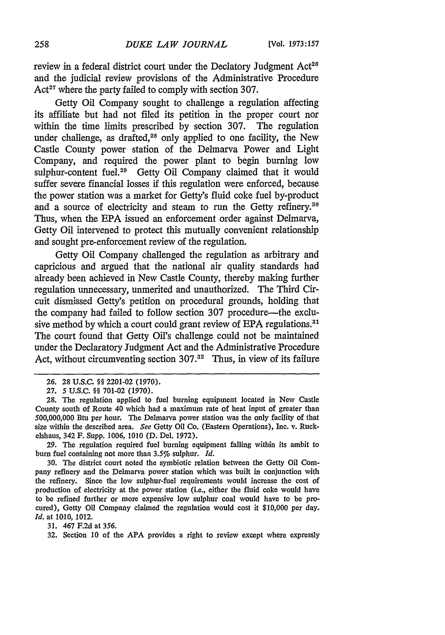review in a federal district court under the Declatory Judgment Act<sup>20</sup> and the judicial review provisions of the Administrative Procedure Act<sup>27</sup> where the party failed to comply with section 307.

Getty Oil Company sought to challenge a regulation affecting its affiliate but had not filed its petition in the proper court nor within the time limits prescribed by section 307. The regulation under challenge, as drafted,<sup>28</sup> only applied to one facility, the New Castle County power station of the Delmarva Power and Light Company, and required the power plant to begin burning low sulphur-content fuel.<sup>29</sup> Getty Oil Company claimed that it would suffer severe financial losses if this regulation were enforced, because the power station was a market for Getty's fluid coke fuel by-product and a source of electricity and steam to run the Getty refinery.<sup>30</sup> Thus, when the EPA issued an enforcement order against Delmarva, Getty Oil intervened to protect this mutually convenient relationship and sought pre-enforcement review of the regulation.

Getty Oil Company challenged the regulation as arbitrary and capricious and argued that the national air quality standards had already been achieved in New Castle County, thereby making further regulation unnecessary, unmerited and unauthorized. The Third Circuit dismissed Getty's petition on procedural grounds, holding that the company had failed to follow section 307 procedure-the exclusive method by which a court could grant review of EPA regulations.<sup>31</sup> The court found that Getty Oil's challenge could not be maintained under the Declaratory Judgment Act and the Administrative Procedure Act, without circumventing section  $307<sup>32</sup>$  Thus, in view of its failure

29. The regulation required fuel burning equipment falling within its ambit to bum fuel containing not more than 3.5% sulphur. *Id.*

30. The district court noted the symbiotic relation between the Getty Oil Company refinery and the Delmarva power station which was built in conjunction with the refinery. Since the low sulphur-fuel requirements would increase the cost of production of electricity at the power station (i.e., either the fluid coke would have to be refined further or more expensive low sulphur coal would have to be procured), Getty Oil Company claimed the regulation would cost it \$10,000 per day. *Id.* at 1010, 1012.

31. 467 F.2d at 356.

**32.** Section 10 of the **APA** provides a right to review except where expressly

**<sup>26. 28</sup> U.S.C.** §§ 2201-02 (1970).

<sup>27.</sup> **5** U.S.C. §§ 701-02 (1970).

<sup>28.</sup> The regulation applied to fuel burning equipment located in New Castle County south of Route 40 which had a maximum rate of heat input of greater than 500,000,000 Btu per hour. The Delmarva power station was the only facility of that size within the described area. *See* Getty Oil *Co.* (Eastern Operations), Inc. v. Ruckelshaus, 342 F. Supp. 1006, 1010 (D. Del. 1972).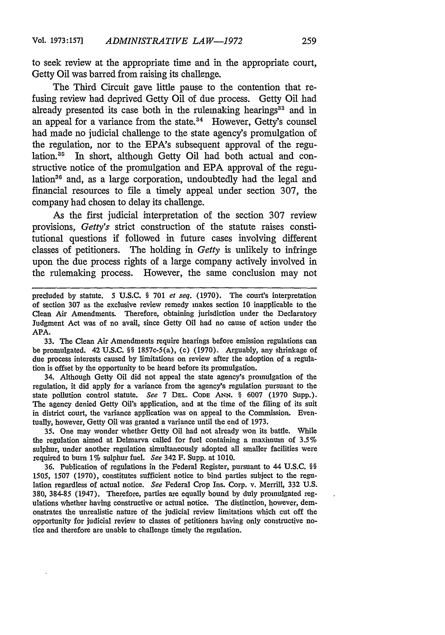to seek review at the appropriate time and in the appropriate court, Getty Oil was barred from raising its challenge.

The Third Circuit gave little pause to the contention that refusing review had deprived Getty Oil of due process. Getty Oil had already presented its case both in the rulemaking hearings<sup>33</sup> and in an appeal for a variance from the state.<sup>34</sup> However, Getty's counsel had made no judicial challenge to the state agency's promulgation of the regulation, nor to the EPA's subsequent approval of the regulation.<sup>35</sup> In short, although Getty Oil had both actual and constructive notice of the promulgation and EPA approval of the regulation<sup>36</sup> and, as a large corporation, undoubtedly had the legal and financial resources to file a timely appeal under section 307, the company had chosen to delay its challenge.

As the first judicial interpretation of the section 307 review provisions, *Getty's* strict construction of the statute raises constitutional questions if followed in future cases involving different classes of petitioners. The holding in *Getty* is unlikely to infringe upon the due process rights of a large company actively involved in the rulemaking process. However, the same conclusion may not

precluded **by** statute. 5 **U.S.C. § 701** *et seq.* **(1970).** The court's interpretation of section 307 as the exclusive review remedy makes section 10 inapplicable to the Clean Air Amendments. Therefore, obtaining jurisdiction under the Declaratory Judgment Act was of no avail, since Getty Oil had no cause of action under the APA.

33. The Clean Air Amendments require hearings before emission regulations can be promulgated. 42 U.S.C. **§§** 1857c-5(a), (c) (1970). Arguably, any shrinkage of due process interests caused by limitations on review after the adoption of a regulation is offset by the opportunity to be heard before its promulgation.

34. Although Getty Oil did not appeal the state agency's promulgation of the regulation, it did apply for a variance from the agency's regulation pursuant to the state pollution control statute. *See* 7 **DEL. CODE ANN. §** 6007 (1970 Supp.). The agency denied Getty Oil's application, and at the time of the filing of its suit in district court, the variance application was on appeal to the Commission. Eventually, however, Getty Oil was granted a variance until the end of 1973.

35. One may wonder whether Getty Oil had not already won its battle. While the regulation aimed at Delmarva called for fuel containing a maximum of 3.5% sulphur, under another regulation simultaneously adopted all smaller facilities were required to burn 1% sulphur fuel. *See* 342F. Supp. at 1010.

36. Publication of regulations in the Federal Register, pursuant to 44 U.S.C. §§ *1505,* 1507 (1970), constitutes sufficient notice to bind parties subject to the regulation regardless of actual notice. *See* Federal Crop Ins. Corp. v. Merrill, 332 U.S. 380, 384-85 (1947). Therefore, parties are equally bound by duly promulgated regulations whether having constructive or actual notice. The distinction, however, demonstrates the unrealistic nature of the judicial review limitations which cut off the opportunity for judicial review to classes of petitioners having only constructive notice and therefore are unable to challenge timely the regulation.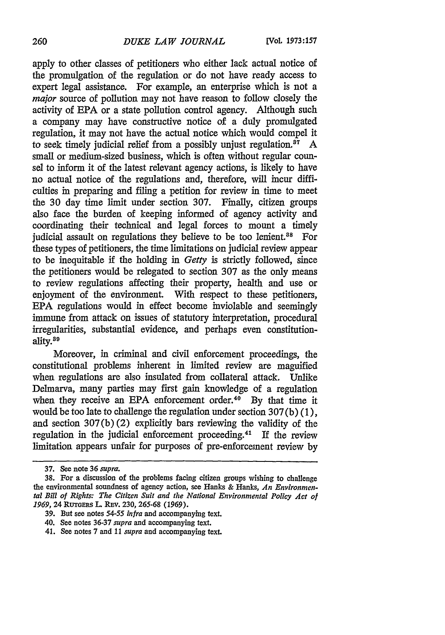apply to other classes of petitioners who either lack actual notice of the promulgation of the regulation or do not have ready access to expert legal assistance. For example, an enterprise which is not a *major* source of pollution may not have reason to follow closely the activity of **EPA** or a state pollution control agency. Although such a company may have constructive notice of a duly promulgated regulation, it may not have the actual notice which would compel it to seek timely judicial relief from a possibly unjust regulation.<sup>87</sup> A small or medium-sized business, which is often without regular counsel to inform it of the latest relevant agency actions, is likely to have no actual notice of the regulations and, therefore, will incur difficulties in preparing and filing a petition for review in time to meet the 30 day time limit under section 307. Finally, citizen groups also face the burden of keeping informed of agency activity and coordinating their technical and legal forces to mount a timely judicial assault on regulations they believe to be too lenient.<sup>88</sup> For these types of petitioners, the time limitations on judicial review appear to be inequitable if the holding in *Getty* is strictly followed, since the petitioners would be relegated to section 307 as the only means to review regulations affecting their property, health and use or enjoyment of the environment. With respect to these petitioners, EPA regulations would in effect become inviolable and seemingly immune from attack on issues of statutory interpretation, procedural irregularities, substantial evidence, and perhaps even constitutionality.<sup>89</sup>

Moreover, in criminal and civil enforcement proceedings, the constitutional problems inherent in limited review are magnified when regulations are also insulated from collateral attack. Unlike Delmarva, many parties may first gain knowledge of a regulation when they receive an EPA enforcement order.<sup>40</sup> By that time it would be too late to challenge the regulation under section 307(b) (1), and section 307(b) (2) explicitly bars reviewing the validity of the regulation in the judicial enforcement proceeding.41 If the review limitation appears unfair for purposes of pre-enforcement review by

**<sup>37.</sup> See note 36** *supra.*

**<sup>38.</sup>** For a discussion of the problems facing citizen groups wishing to challenge the environmental soundness of agency action, see Hanks & Hanks, *An Environmental Bill of Rights: The Citizen Suit and the National Environmental Policy Act of 1969,* 24 RUTGERS L. Rav. **230, 265-68 (1969).**

**<sup>39.</sup>** But see notes *54-55 infra* and accompanying text.

<sup>40.</sup> See notes **36-37** *supra* and accompanying text.

<sup>41.</sup> See notes **7** and **11** *supra* and accompanying text.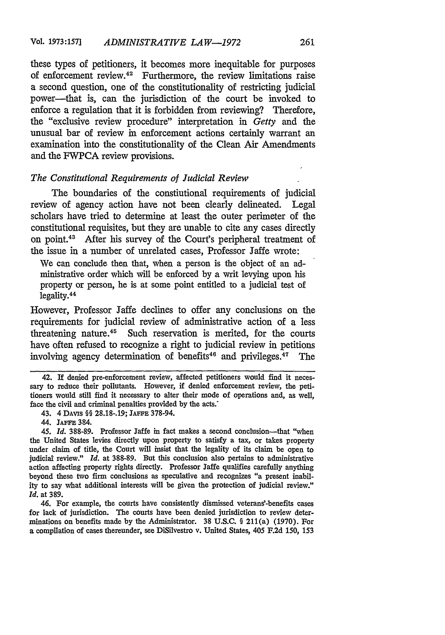these types of petitioners, it becomes more inequitable for purposes of enforcement review.<sup>42</sup> Furthermore, the review limitations raise a second question, one of the constitutionality of restricting judicial power-that is, can the jurisdiction of the court be invoked to enforce a regulation that it is forbidden from reviewing? Therefore, the "exclusive review procedure" interpretation in *Getty* and the unusual bar of review in enforcement actions certainly warrant an examination into the constitutionality of the Clean Air Amendments and the FWPCA review provisions.

### *The Constitutional Requirements of Judicial Review*

The boundaries of the constiutional requirements of judicial review of agency action have not been clearly delineated. Legal scholars have tried to determine at least the outer perimeter of the constitutional requisites, but they are unable to cite any cases directly on point.43 After his survey of the Court's peripheral treatment of the issue in a number of unrelated cases, Professor Jaffe wrote:

We can conclude then that, when a person is the object of an ad- ministrative order which will be enforced by a writ levying upon his property or person, he is at some point entitled to a judicial test of legality.<sup>44</sup>

However, Professor Jaffe declines to offer any conclusions on the requirements for judicial review of administrative action of a less threatening nature.45 Such reservation is merited, for the courts have often refused to recognize a right to judicial review in petitions involving agency determination of benefits<sup>46</sup> and privileges.<sup>47</sup> The

46. For example, the courts have consistently dismissed veterans'-benefits cases for lack of jurisdiction. The courts have been denied jurisdiction to review determinations on benefits made by the Administrator. 38 U.S.C. § 211(a) (1970). For a compilation of cases thereunder, see DiSilvestro v. United States, 405 F.2d 150, 153

<sup>42.</sup> If denied pre-enforcement review, affected petitioners would find it necessary to reduce their pollutants. However, if denied enforcement review, the petitioners would still find it necessary to alter their mode of operations and, as well, face the civil and criminal penalties provided by the acts.'

<sup>43. 4</sup> DAVIs §§ 28.18-.19; **JAFFE** 378-94.

<sup>44.</sup> **JAFE** 384.

*<sup>45.</sup> Id.* 388-89. Professor Jaffe in fact makes a second conclusion-that "when the United States levies directly upon property to satisfy a tax, or takes property under claim of title, the Court will insist that the legality of its claim be open to judicial review." *Id.* at 388-89. But this conclusion also pertains to administrative action affecting property rights directly. Professor Jaffe qualifies carefully anything beyond these two firm conclusions as speculative and recognizes "a present inability to say what additional interests will be given the protection of judicial review." *Id.* at 389.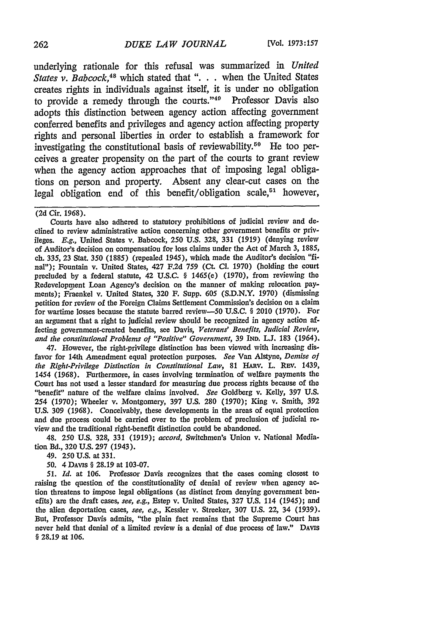underlying rationale for this refusal was summarized in *United States v. Babcock,4 <sup>8</sup>*which stated that **"...** when the United States creates rights in individuals against itself, it is under no obligation to provide a remedy through the courts."<sup>40</sup> Professor Davis also adopts this distinction between agency action affecting government conferred benefits and privileges and agency action affecting property rights and personal liberties in order to establish a framework for investigating the constitutional basis of reviewability.<sup>50</sup> He too perceives a greater propensity on the part of the courts to grant review when the agency action approaches that of imposing legal obligations on person and property. Absent any clear-cut cases on the legal obligation end of this benefit/obligation scale,<sup>51</sup> however,

Courts have also adhered to statutory prohibitions of judicial review and declined to review administrative action concerning other government benefits or privileges. *E.g.,* United States v. Babcock, 250 U.S. 328, 331 (1919) (denying review of Auditor's decision on compensation for loss claims under the Act of March 3, 1885, **ch.** 335, 23 Stat. 350 (1885) (repealed 1945), which made the Auditor's decision "final'); Fountain v. United States, 427 F.2d 759 (Ct. **Cl.** 1970) (holding the court precluded by a federal statute, 42 U.S.C. § 1465(e) (1970), from reviewing the Redevelopment Loan Agency's decision on the manner of making relocation payments); Fraenkel v. United States, 320 F. Supp. **605** (S.D.N.Y. 1970) (dismissing petition for review of the Foreign Claims Settlement Commission's decision on a claim for wartime losses because the statute barred review-50 U.S.C. § 2010 (1970). For an argument that a right to judicial review should be recognized in agency action affecting government-created benefits, see Davis, Veterans' Benefits, Judicial Review, *and the constitutional Problems of "Positive" Government,* 39 **IND. L.J.** 183 (1964).

47. However, the right-privilege distinction has been viewed with increasing disfavor for 14th Amendment equal protection purposes. *See* Van Alstyne, *Demise of the Right-Privilege Distinction in Constitutional Law*, 81 HARV. L. REV. 1439, 1454 (1968). Furthermore, in cases involving termination of welfare payments the Court has not used a lesser standard for measuring due process rights because of the "benefit" nature of the welfare claims involved. *See* Goldberg v. Kelly, 397 U.S. 254 (1970); Wheeler v. Montgomery, 397 U.S. 280 (1970); King v. Smith, 392 U.S. 309 (1968). Conceivably, these developments in the areas of equal protection and due process could be carried over to the problem of preclusion of judicial review and the traditional right-benefit distinction could be abandoned.

48. 250 U.S. 328, 331 (1919); *accord,* Switchmen's Union v. National Mediation Bd., 320 U.S. 297 (1943).

49. 250U.S.at331.

*50.* 4 DAvis § 28.19 at 103-07.

*51. Id.* at 106. Professor Davis recognizes that the cases coming closest to raising the question of the constitutionality of denial of review when agency action threatens to impose legal obligations (as distinct from denying government benefits) are the draft cases, see, e.g., Estep v. United States, 327 **U.S.** 114 (1945); and the alien deportation cases, see, e.g., Kessler v. Strecker, 307 **U.S.** 22, 34 (1939). But, Professor Davis admits, "the plain fact remains that the Supreme Court has never held that denial of a limited review is a denial of due process of law." DAvis § 28.19 at 106.

<sup>(2</sup>d Cir. 1968).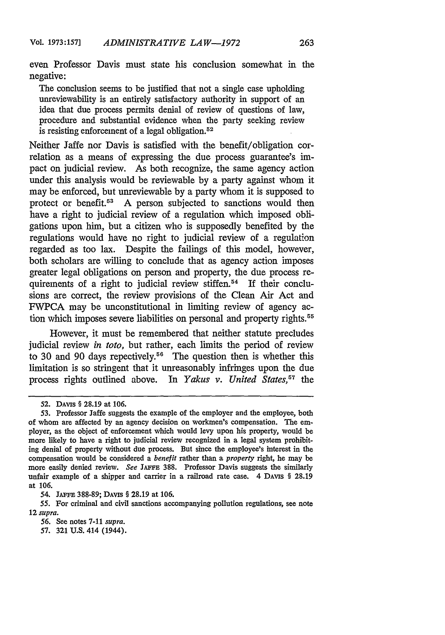even Professor Davis must state his conclusion somewhat in the negative:

The conclusion seems to be justified that not a single case upholding unreviewability is an entirely satisfactory authority in support of an idea that due process permits denial of review of questions of law, procedure and substantial evidence when the party seeking review is resisting enforcement of a legal obligation. <sup>52</sup>

Neither Jaffe nor Davis is satisfied with the benefit/obligation correlation as a means of expressing the due process guarantee's impact on judicial review. As both recognize, the same agency action under this analysis would be reviewable by a party against whom it may be enforced, but unreviewable by a party whom it is supposed to protect or benefit.<sup>53</sup> A person subjected to sanctions would then have a right to judicial review of a regulation which imposed obligations upon him, but a citizen who is supposedly benefited by the regulations would have no right to judicial review of a regulation regarded as too lax. Despite the failings of this model, however, both scholars are willing to conclude that as agency action imposes greater legal obligations on person and property, the due process requirements of a right to judicial review stiffen.<sup>54</sup> If their conclusions are correct, the review provisions of the Clean Air Act and FWPCA may be unconstitutional in limiting review of agency action which imposes severe liabilities on personal and property rights.<sup>55</sup>

However, it must be remembered that neither statute precludes judicial review *in toto,* but rather, each limits the period of review to 30 and 90 days repectively.<sup>56</sup> The question then is whether this limitation is so stringent that it unreasonably infringes upon the due process rights outlined above. In *Yakus v. United States*,<sup>57</sup> the

**<sup>52.</sup>** DAvis § 28.19 at 106.

<sup>53.</sup> Professor Jaffe suggests the example of the employer and the employee, both of whom are affected by an agency decision on workmen's compensation. The employer, as the object of enforcement which would levy upon his property, would be more likely to have a right to judicial review recognized in a legal system prohibiting denial of property without due process. But since the employee's interest in the compensation would be considered a *benefit* rather than a *property* right, he may be more easily denied review. *See* JAFFE 388. Professor Davis suggests the similarly unfair example of a shipper and carrier in a railroad rate case. 4 DAvis § 28.19 at 106.

<sup>54.</sup> JAFFE 388-89; DAVIS § 28.19 at 106.

*<sup>55.</sup>* For criminal and civil sanctions accompanying pollution regulations, see note 12 *supra.*

<sup>56.</sup> See notes 7-11 *supra.*

*<sup>57.</sup>* **321** U.S. 414 (1944).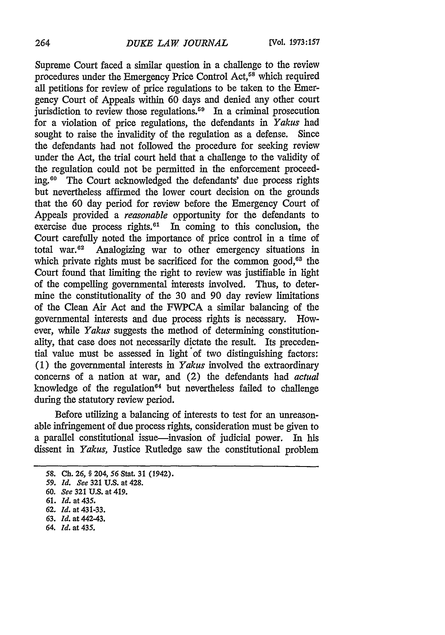Supreme Court faced a similar question in a challenge to the review procedures under the Emergency Price Control Act,<sup>58</sup> which required all petitions for review of price regulations to be taken to the Emergency Court of Appeals within 60 days and denied any other court jurisdiction to review those regulations.<sup>59</sup> In a criminal prosecution for a violation of price regulations, the defendants in *Yakus* had sought to raise the invalidity of the regulation as a defense. Since the defendants had not followed the procedure for seeking review under the Act, the trial court held that a challenge to the validity of the regulation could not be permitted in the enforcement proceeding.60 The Court acknowledged the defendants' due process rights but nevertheless affirmed the lower court decision on the grounds that the 60 day period for review before the Emergency Court of Appeals provided a *reasonable* opportunity for the defendants to exercise due process rights. $61$  In coming to this conclusion, the Court carefully noted the importance of price control in a time of total war.<sup>62</sup> Analogizing war to other emergency situations in which private rights must be sacrificed for the common good,<sup>63</sup> the Court found that limiting the right to review was justifiable in light of the compelling governmental interests involved. Thus, to determine the constitutionality of the 30 and 90 day review limitations of the Clean Air Act and the FWPCA a similar balancing of the governmental interests and due process rights is necessary. However, while *Yakus* suggests the method of determining constitutionality, that case does not necessarily dictate the result. Its precedential value must be assessed in light of two distinguishing factors: (1) the governmental interests in *Yakus* involved the extraordinary concerns of a nation at war, and (2) the defendants had *actual* knowledge of the regulation $64$  but nevertheless failed to challenge during the statutory review period.

Before utilizing a balancing of interests to test for an unreasonable infringement of due process rights, consideration must be given to a parallel constitutional issue-invasion of judicial power. In his dissent in *Yakus,* Justice Rutledge saw the constitutional problem

- 63. *Id.* at 442-43.
- *64. Id.* at **435.**

*<sup>58.</sup>* **Ch. 26, §** 204, **56** Stat. **31 (1942).**

*<sup>59.</sup> Id. See* 321 **U.S.** at 428.

<sup>60.</sup> *See* **321 U.S.** at 419.

**<sup>61.</sup>** *Id.* at 435.

**<sup>62.</sup>** *Id.* at 431-33.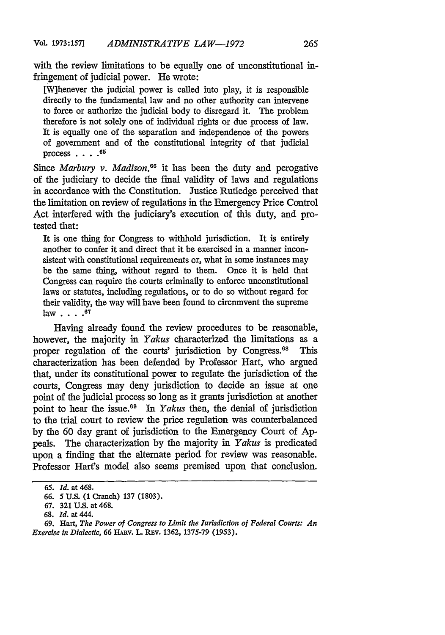with the review limitations to be equally one of unconstitutional infringement of judicial power. He wrote:

[W]henever the judicial power is called into play, it is responsible directly to the fundamental law and no other authority can intervene to force or authorize the judicial body to disregard it. The problem therefore is not solely one of individual rights or due process of law. It is equally one of the separation and independence of the powers of government and of the constitutional integrity of that judicial process **.... 65**

Since *Marbury v. Madison*,<sup>66</sup> it has been the duty and perogative of the judiciary to decide the final validity of laws and regulations in accordance with the Constitution. Justice Rutledge perceived that the limitation on review of regulations in the Emergency Price Control Act interfered with the judiciary's execution of this duty, and protested that:

It is one thing for Congress to withhold jurisdiction. It is entirely another to confer it and direct that it be exercised in a manner inconsistent with constitutional requirements or, what in some instances may be the same thing, without regard to them. Once it is held that Congress can require the courts criminally to enforce unconstitutional laws or statutes, including regulations, or to do so without regard for their validity, the way will have been found to circnmvent the supreme law .... **<sup>6</sup> <sup>7</sup>**

Having already found the review procedures to be reasonable, however, the majority in *Yakus* characterized the limitations as a proper regulation of the courts' jurisdiction by Congress.<sup>68</sup> This characterization has been defended by Professor Hart, who argued that, under its constitutional power to regulate the jurisdiction of the courts, Congress may deny jurisdiction to decide an issue at one point of the judicial process so long as it grants jurisdiction at another point to hear the issue.<sup>69</sup> In *Yakus* then, the denial of jurisdiction to the trial court to review the price regulation was counterbalanced by the 60 day grant of jurisdiction to the Emergency Court of **Ap**peals. The characterization by the majority in *Yakus* is predicated upon a finding that the alternate period for review was reasonable. Professor Hart's model also seems premised upon that conclusion.

*<sup>65.</sup> Id.* at 468.

*<sup>66.</sup>* 5 **U.S. (1** Cranch) **137 (1803).**

**<sup>67. 321</sup> U.S.** at 468.

**<sup>68.</sup>** *Id.* at 444.

**<sup>69.</sup>** Hart, *The Power of Congress to Limit the lurisdiction of Federal Courts: An Exercise in Dialectic,* **66** HARv. L. **REV. 1362, 1375-79 (1953).**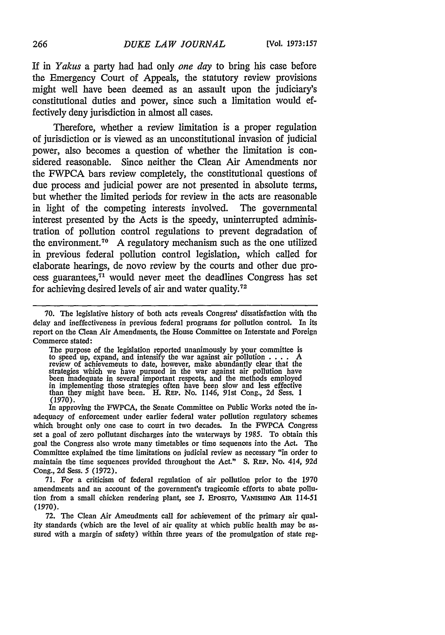If in *Yakus* a party had had only *one day* to bring his case before the Emergency Court of Appeals, the statutory review provisions might well have been deemed as an assault upon the judiciary's constitutional duties and power, since such a limitation would effectively deny jurisdiction in almost all cases.

Therefore, whether a review limitation is a proper regulation of jurisdiction or is viewed as an unconstitutional invasion of judicial power, also becomes a question of whether the limitation is considered reasonable. Since neither the Clean Air Amendments nor the FWPCA bars review completely, the constitutional questions of due process and judicial power are not presented in absolute terms, but whether the limited periods for review in the acts are reasonable in light of the competing interests involved. The governmental interest presented by the Acts is the speedy, uninterrupted administration of pollution control regulations to prevent degradation of the environment.<sup>70</sup> A regulatory mechanism such as the one utilized in previous federal pollution control legislation, which called for elaborate hearings, de novo review by the courts and other due process guarantees, $71$  would never meet the deadlines Congress has set for achieving desired levels of air and water quality.<sup>72</sup>

The purpose of the legislation reported unanimously by your committee is to speed up, expand, and intensify the war against air pollution .... A review of achievements to date, however, make abundantly clear that the strategies which we have pursued in the war against air pollution have been inadequate in several important respects, and the methods employed in implementing those strategies often have been slow and less effective than they might have been. H. REP. No. 1146, 91st Cong., 2d Sess. **1** (1970).

In approving the FWPCA, the Senate Committee on Public Works noted the inadequacy of enforcement under earlier federal water pollution regulatory schemes which brought only one case to court in two decades. In the FWPCA Congress set a goal of zero pollutant discharges into the waterways by 1985. To obtain this goal the Congress also wrote many timetables or time sequences into the Act. The Committee explained the time limitations on judicial review as necessary "in order to maintain the time sequences provided throughout the Act." **S.** REP. No. 414, 92d Cong., 2d Sess. 5 (1972).

71. For a criticism of federal regulation of air pollution prior to the 1970 amendments and an account of the government's tragicomic efforts to abate pollution from a small chicken rendering plant, see **J.** Eposrro, **VANISMNG** Am 114-51 (1970).

72. The Clean Air Amendments call for achievement of the primary air quality standards (which are the level of air quality at which public health may be assured with a margin of safety) within three years of the promulgation of state reg-

<sup>70.</sup> The legislative history of both acts reveals Congress' dissatisfaction with the delay and ineffectiveness in previous federal programs for pollution control. In its report on the Clean Air Amendments, the House Committee on Interstate and Foreign Commerce stated: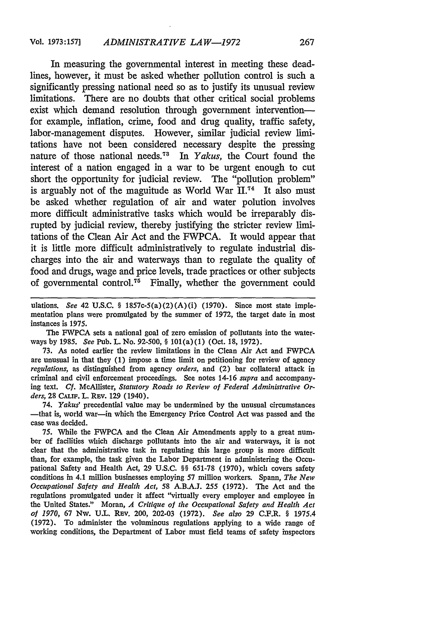In measuring the governmental interest in meeting these deadlines, however, it must be asked whether pollution control is such a significantly pressing national need so as to justify its unusual review limitations. There are no doubts that other critical social problems exist which demand resolution through government interventionfor example, inflation, crime, food and drug quality, traffic safety, labor-management disputes. However, similar judicial review limitations have not been considered necessary despite the pressing nature of those national needs.73 In *Yakus,* the Court found the interest of a nation engaged in a war to be urgent enough to cut short the opportunity for judicial review. The "pollution problem" is arguably not of the magnitude as World War **I.74** It also must be asked whether regulation of air and water polution involves more difficult administrative tasks which would be irreparably disrupted by judicial review, thereby justifying the stricter review limitations of the Clean Air Act and the FWPCA. It would appear that it is little more difficult administratively to regulate industrial discharges into the air and waterways than to regulate the quality of food and drugs, wage and price levels, trade practices or other subjects of governmental control.<sup>75</sup> Finally, whether the government could

ulations. *See* 42 U.S.C. § 1857c-5(a)(2)(A)(i) (1970). Since most state implementation plans were promulgated by the summer of 1972, the target date in most instances is 1975.

The FWPCA sets a national goal of zero emission of pollutants into the waterways by 1985. *See* Pub. L. No. 92-500, § 101(a)(1) (Oct. 18, 1972).

73. As noted earlier the review limitations in the Clean Air Act and FWPCA are unusual in that they (1) impose a time limit on petitioning for review of agency *regulations,* as distinguished from agency *orders,* and (2) bar collateral attack in criminal and civil enforcement proceedings. See notes 14-16 *supra* and accompanying text. Cf. McAllister, *Statutory Roads to Review of Federal Administrative Orders,* 28 **CALIr'.** L. REv. **129** (1940).

74. *Yakus'* precedential value may be undermined by the unusual circumstances -that is, world war-in which the Emergency Price Control Act was passed and the case was decided.

75. While the FWPCA and the Clean Air Amendments apply to a great number of facilities which discharge pollutants into the air and waterways, it is not clear that the administrative task in regulating this large group is more difficult than, for example, the task given the Labor Department in administering the Occupational Safety and Health Act, 29 U.S.C. §§ 651-78 (1970), which covers safety conditions in 4.1 million businesses employing 57 million workers. Spann, *The New Occupational Safety and Health Act,* 58 A.B.A.J. 255 (1972). The Act and the regulations promulgated under it affect "virtually every employer and employee in the United States." Moran, *A Critique of the Occupational Safety and Health Act of 1970,* 67 Nw. U.L. REv. 200, 202-03 (1972). *See also* 29 C.F.R. § 1975.4 (1972). To administer the voluminous regulations applying to a wide range of working conditions, the Department of Labor must field teams of safety inspectors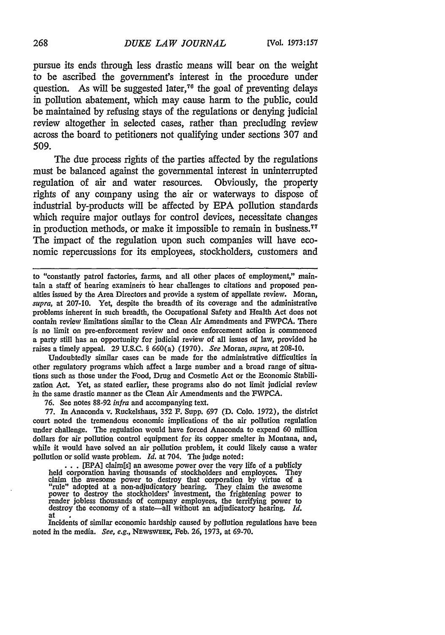pursue its ends through less drastic means will bear on the weight to be ascribed the government's interest in the procedure under question. As will be suggested later,<sup> $76$ </sup> the goal of preventing delays in pollution abatement, which may cause harm to the public, could be maintained by refusing stays of the regulations or denying judicial review altogether in selected cases, rather than precluding review across the board to petitioners not qualifying under sections 307 and 509.

The due process rights of the parties affected by the regulations must be balanced against the governmental interest in uninterrupted regulation of air and water resources. Obviously, the property rights of any company using the air or waterways to dispose of industrial by-products will be affected by EPA pollution standards which require major outlays for control devices, necessitate changes in production methods, or make it impossible to remain in business.<sup>77</sup> The impact of the regulation upon such companies will have economic repercussions for its employees, stockholders, customers and

to "constantly patrol factories, farms, and all other places of employment," maintain a staff of hearing examineis to hear challenges to citations and proposed penalties issued by the Area Directors and provide a system of appellate review. Moran, *supra,* at 207-10. Yet, despite the breadth of its coverage and the administrative problems inherent in such breadth, the Occupational Safety and Health Act does not contain review limitations similar to the Clean Air Amendments and FWPCA. There is no limit on pre-enforcement review and once enforcement action is commenced a party still has an opportunity for judicial review of all issues of law, provided he raises a timely appeal. 29 U.S.C. § 660(a) (1970). *See* Moran, *supra,* at 208-10.

Undoubtedly similar cases can be made for the administrative difficulties in other regulatory programs which affect a large number and a broad range of situations such as those under the Food, Drug and Cosmetic Act or the Economic Stabilization Act. Yet, as stated earlier, these programs also do not limit judicial review in the same drastic manner as the Clean Air Amendments and the FWPCA.

**76.** See notes 88-92 *infra* and accompanying text.

77. **In** Anaconda v. Ruckelshaus, 352 F. Supp. 697 (D. Colo. 1972), the district court noted the tremendous economic implications of the air pollution regulation under challenge. The regulation would have forced Anaconda to expend 60 million dollars for air pollution control equipment for its copper smelter in Montana, and, while it would have solved an air pollution problem, it could likely cause a water pollution or solid waste problem. *Id.* at 704. The judge noted:

... [EPA] claim[s] an awesome power over the very life of a publicly<br>held corporation having thousands of stockholders and employces. They<br>claim the awesome power to destroy that corporation by virtue of a<br>"rule" adopted a render jobless thousands of company employees, the terrifying power to destroy the economy of a state-all without an adjudicatory hearing. *Id.* at

Incidents of similar economic hardship caused by pollution regulations have been noted in the media. *See, e.g.,* NEWSWEEK, Feb. 26, 1973, at 69-70.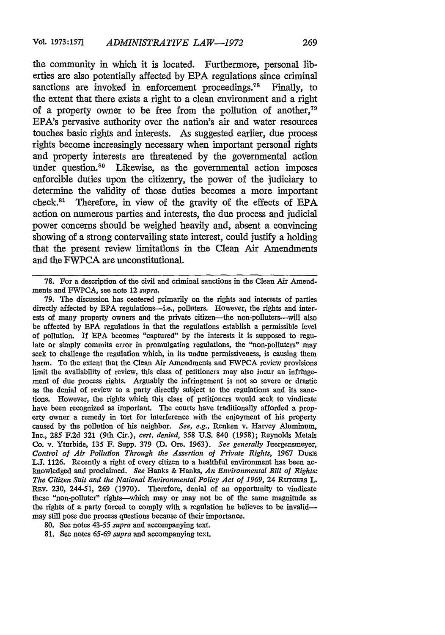the community in which it is located. Furthermore, personal liberties are also potentially affected by EPA regulations since criminal sanctions are invoked in enforcement proceedings.<sup>78</sup> Finally, to the extent that there exists a right to a clean environment and a right of a property owner to be free from the pollution of another, $79$ EPA's pervasive authority over the nation's air and water resources touches basic rights and interests. As suggested earlier, due process rights become increasingly necessary when important personal rights and property interests are threatened by the governmental action under question.<sup>80</sup> Likewise, as the governmental action imposes enforcible duties upon the citizenry, the power of the judiciary to determine the validity of those duties becomes a more important check. $81$  Therefore, in view of the gravity of the effects of EPA action on numerous parties and interests, the due process and judicial power concerns should be weighed heavily and, absent a convincing showing of a strong contervailing state interest, could justify a holding that the present review limitations in the Clean Air Amendments and the FWPCA are unconstitutional.

79. The discussion has centered primarily on the rights and interests of parties directly affected by **EPA** regulations-i.e., polluters. However, the rights and interests of many property owners and the private citizen-the non-polluters-will also be affected by EPA regulations in that the regulations establish a permissible level of pollution. If EPA becomes "captured" by the interests it is supposed to regulate or simply commits error in promulgating regulations, the "non-polluters" may seek to challenge the regulation which, in its undue permissiveness, is causing them harm. To the extent that the Clean Air Amendments and FWPCA review provisions limit the availability of review, this class of petitioners may also incur an infringement of due process rights. Arguably the infringement is not so severe or drastic as the denial of review to a party directly subject to the regulations and its sanctions. However, the rights which this class of petitioners would seek to vindicate have been recognized as important. The courts have traditionally afforded a property owner a remedy in tort for interference with the enjoyment of his property caused by the pollution of his neighbor. *See, e.g.,* Renken v. Harvey Aluminum, Inc., 285 F.2d 321 (9th Cir.), *cert. denied,* 358 U.S. 840 (1958); Reynolds Metals Co. v. Yturbide, 135 F. Supp. 379 **(D.** Ore. 1963). *See generally* Juergensmeyer, *Control of Air Pollution Through the Assertion of Private Rights,* 1967 **DUKE LJ.** 1126. Recently a right of every citizen to a healthful environment has been acknowledged and proclaimed. *See* Hanks & Hanks, *An Environmental Bill of Rights: The Citizen Suit and the National Environmental Policy Act of 1969,* 24 RUTGERS L. REV. 230, 244-51, 269 (1970). Therefore, denial of an opportunity to vindicate these "non-polluter" rights-which may or may not be of the same magnitude as the rights of a party forced to comply with a regulation he believes to be invalidmay still pose due process questions because of their importance.

<sup>78.</sup> For a description of the civil and criminal sanctions in the Clean Air Amendments and FWPCA, see note 12 *supra.*

<sup>80.</sup> See notes 43-55 *supra* and accompanying text.

<sup>81.</sup> See notes 65-69 *supra* and accompanying text.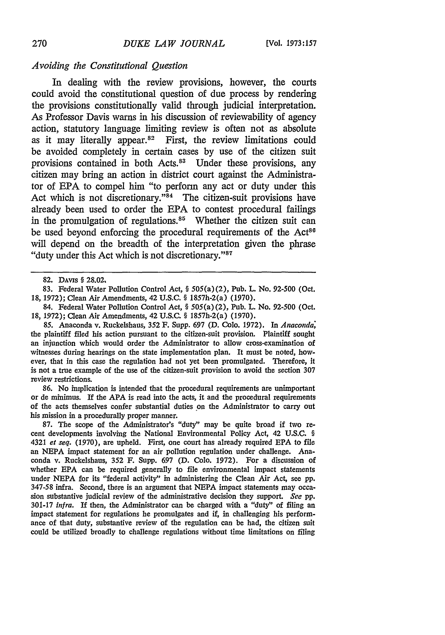#### *Avoiding the Constitutional Question*

In dealing with the review provisions, however, the courts could avoid the constitutional question of due process by rendering the provisions constitutionally valid through judicial interpretation. As Professor Davis warns in his discussion of reviewability of agency action, statutory language limiting review is often not as absolute as it may literally appear. $82$  First, the review limitations could be avoided completely in certain cases by use of the citizen suit provisions contained in both Acts.<sup>83</sup> Under these provisions, any citizen may bring an action in district court against the Administrator of EPA to compel him "to perform any act or duty under this Act which is not discretionary." $84$  The citizen-suit provisions have already been used to order the EPA to contest procedural failings in the promulgation of regulations. $85$  Whether the citizen suit can be used beyond enforcing the procedural requirements of the Act<sup>86</sup> will depend on the breadth of the interpretation given the phrase "duty under this Act which is not discretionary. **"87**

**83.** Federal Water Pollution Control Act, § 505(a) (2), Pub. L. No. 92-500 (Oct. 18, 1972); Clean Air Amendments, 42 **U.S.C.** § 1857h-2(a) (1970).

84. Federal Water Pollution Control Act, § 505(a) (2), Pub. L. No. 92-500 (Oct. **18,** 1972); Clean Air Amendments, 42 **U.S.C.** § 1857h-2(a) (1970).

*85.* Anaconda v. Ruckelshaus, **352** F. Supp. 697 **(D.** Colo. 1972). In *Anaconda;* the plaintiff filed his action pursuant to the citizen-suit provision. Plaintiff sought an injunction which would order the Administrator to allow cross-examination of witnesses during hearings on the state implementation plan. It must be noted, however, that in this case the regulation had not yet been promulgated. Therefore, it is not a true example of the use of the citizen-suit provision to avoid the section 307 review restrictions.

*86.* No implication is intended that the procedural requirements are unimportant or de minimus. If the APA is read into the acts, it and the procedural requirements of the acts themselves confer substantial duties on the Administrator to carry out his mission in a procedurally proper manner.

87. The scope of the Administrator's "duty" may be quite broad if two recent developments involving the National Environmental Policy Act, 42 U.S.C. § 4321 *et seq.* (1970), are upheld. First, one court has already required EPA to file an NEPA impact statement for an air pollution regulation under challenge. Anaconda v. Ruckelshaus, 352 F. Supp. 697 (D. Colo. 1972). For a discussion of whether EPA can be required generally to file environmental impact statements under NEPA for its "federal activity" in administering the Clean Air Act, see pp. 347-58 infra. Second, there is an argument that NEPA impact statements may occasion substantive judicial review of the administrative decision they support. *See* pp. 301-17 *infra.* If then, the Administrator can be charged with a "duty" of filing an impact statement for regulations he promulgates and if, in challenging his performance of that duty, substantive review of the regulation can be had, the citizen suit could be utilized broadly to challenge regulations without time limitations on filing

**<sup>82.</sup>** DAVIS § **28.02,**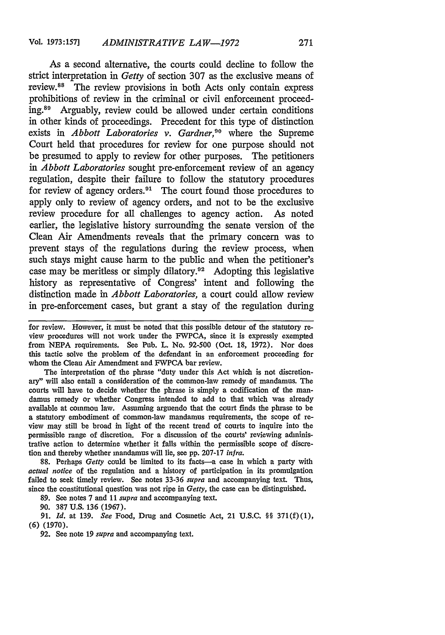As a second alternative, the courts could decline to follow the strict interpretation in *Getty* of section 307 as the exclusive means of review. 88 The review provisions in both Acts only contain express prohibitions of review in the criminal or civil enforcement proceeding.89 Arguably, review could be allowed under certain conditions in other kinds of proceedings. Precedent for this type of distinction exists in *Abbott Laboratories v. Gardner*,<sup>90</sup> where the Supreme Court held that procedures for review for one purpose should not be presumed to apply to review for other purposes. The petitioners *in Abbott Laboratories* sought pre-enforcement review of an agency regulation, despite their failure to follow the statutory procedures for review of agency orders.<sup>91</sup> The court found those procedures to apply only to review of agency orders, and not to be the exclusive review procedure for all challenges to agency action. As noted earlier, the legislative history surrounding the senate version of the Clean Air Amendments reveals that the primary concern was to prevent stays of the regulations during the review process, when such stays might cause harm to the public and when the petitioner's case may be meritless or simply dilatory.92 Adopting this legislative history as representative of Congress' intent and following the distinction made in *Abbott Laboratories,* a court could allow review in pre-enforcement cases, but grant a stay of the regulation during

for review. However, it must be noted that this possible detour of the statutory review procedures will not work under the FWPCA, since it is expressly exempted from NEPA requirements. See Pub. L. No. 92-500 (Oct. 18, 1972). Nor does this tactic solve the problem of the defendant in an enforcement proceeding for whom the Clean Air Amendment and FWPCA bar review.

The interpretation of the phrase "duty under this Act which is not discretionary" will also entail a consideration of the common-law remedy of mandamus. The courts will have to decide whether the phrase is simply a codification of the mandamus remedy or whether Congress intended to add to that which was already available at common law. Assuming arguendo that the court finds the phrase to be a statutory embodiment of common-law mandamus requirements, the scope of review may still be broad in light of the recent trend of courts to inquire into the permissible range of discretion. For a discussion of the courts' reviewing administrative action to determine whether it falls within the permissible scope of discretion and thereby whether mandamus will lie, see pp. 207-17 *infra.*

88. Perhaps *Getty* could be limited to its facts-a case in which a party with *actual notice* of the regulation and a history of participation in its promulgation failed to seek timely review. See notes 33-36 *supra* and accompanying text. Thus, since the constitutional question was not ripe in *Getty,* the case can be distinguished.

89. See notes 7 and 11 *supra* and accompanying text.

90. 387 U.S. 136 (1967).

91. *Id.* at 139. *See* Food, Drug and Cosmetic Act, 21 U.S.C. §§ 371(f)(1), (6) (1970).

**92.** See note **19** *supra* and accompanying text.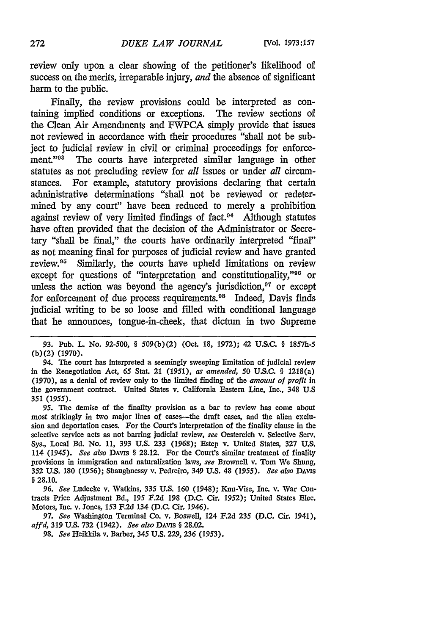review only upon a clear showing of the petitioner's likelihood of success on the merits, irreparable injury, *and* the absence of significant harm to the public.

Finally, the review provisions could be interpreted as containing implied conditions or exceptions. The review sections of the Clean Air Amendments and FWPCA simply provide that issues not reviewed in accordance with their procedures "shall not be subject to judicial review in civil or criminal proceedings for enforcement."93 The courts have interpreted similar language in other statutes as not precluding review for *all* issues or under *all* circumstances. For example, statutory provisions declaring that certain administrative determinations "shall not be reviewed or redetermined by any court" have been reduced to merely a prohibition against review of very limited findings of fact.<sup>94</sup> Although statutes have often provided that the decision of the Administrator or Secretary "shall be final," the courts have ordinarily interpreted "final" as not meaning final for purposes of judicial review and have granted review.<sup>95</sup> Similarly, the courts have upheld limitations on review except for questions of "interpretation and constitutionality,"<sup>96</sup> or unless the action was beyond the agency's jurisdiction, $\alpha$  or except for enforcement of due process requirements.98 Indeed, Davis finds judicial writing to be so loose and filled with conditional language that he announces, tongue-in-cheek, that dictum in two Supreme

94. The court has interpreted a seemingly sweeping limitation of judicial review in the Renegotiation Act, 65 Stat. 21 *(1951), as amended, 50* U.S.C. § 1218(a) (1970), as a denial of review only to the limited finding of the *amount of profit in* the government contract. United States v. California Eastern Line, Inc., 348 U.S 351 *(1955).*

95. The demise of the finality provision as a bar to review has come about most strikingly in two major lines of cases--the draft cases, and the alien exclusion and deportation cases. For the Court's interpretation of the finality clause in the selective service acts as not barring judicial review, *see* Oestereich v. Selective Serv. Sys., Local *Bd.* No. 11, 393 U.S. 233 (1968); Estep v. United States, 327 U.S. 114 *(1945). See also DAvis* § 28.12. For the Court's similar treatment of finality provisions in immigration and naturalization laws, *see* Brownell v. Tom We Shung, 352 U.S. 180 (1956); Shaughnessy v. Pedreiro, 349 U.S. 48 *(1955). See also DAvis* § 28.10.

*96. See* Ludecke v. Watkins, 335 U.S. *160* (1948); Knu-Vise, Inc. v. War Contracts Price Adjustment Bd., 195 F.2d 198 (D.C. Cir. 1952); United States **Elec.** Motors, Inc. v. Jones, 153 F.2d 134 (D.C. Cir. 1946).

97. *See* Washington Terminal Co. v. Boswell, 124 F.2d 235 (D.C. Cir. 1941), *affd,* 319 U.S. 732 (1942). *See also* DAVIs § 28.02.

98. *See* Heikkila v. Barber, 345 U.S. 229, 236 (1953).

<sup>93.</sup> Pub. L. No. 92-500, § 509(b)(2) (Oct. 18, 1972); 42 U.S.C. § **1857h-5** (b) (2) (1970).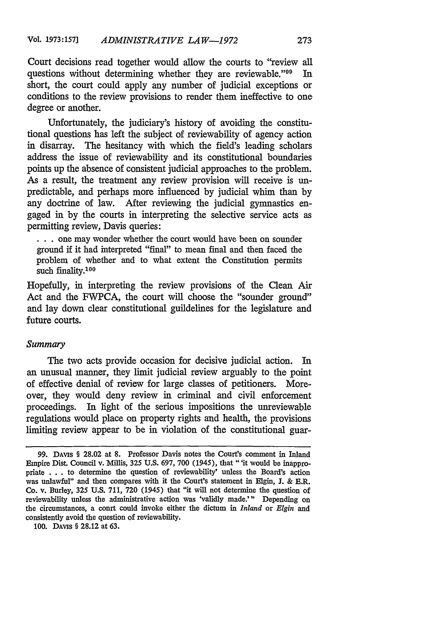Court decisions read together would allow the courts to "review all questions without determining whether they are reviewable."<sup>99</sup> In questions without determining whether they are reviewable."<sup>99</sup> short, the court could apply any number of judicial exceptions or conditions to the review provisions to render them ineffective to one degree or another.

Unfortunately, the judiciary's history of avoiding the constitutional questions has left the subject of reviewability of agency action in disarray. The hesitancy with which the field's leading scholars address the issue of reviewability and its constitutional boundaries points up the absence of consistent judicial approaches to the problem. As a result, the treatment any review provision will receive is unpredictable, and perhaps more influenced by judicial whim than by any doctrine of law. After reviewing the judicial gymnastics engaged in by the courts in interpreting the selective service acts as permitting review, Davis queries:

**...**one may wonder whether the court would have been on sounder ground if it had interpreted "final" to mean final and then faced the problem of whether and to what extent the Constitution permits such finality.100

Hopefully, in interpreting the review provisions of the Clean Air Act and the FWPCA, the court will choose the "sounder ground" and lay down clear constitutional guildelines for the legislature and future courts.

#### *Summary*

The two acts provide occasion for decisive judicial action. In an unusual manner, they limit judicial review arguably to the point of effective denial of review for large classes of petitioners. Moreover, they would deny review in criminal and civil enforcement proceedings. In light of the serious impositions the unreviewable regulations would place on property rights and health, the provisions limiting review appear to be in violation of the constitutional guar-

100. **DAvis** § **28.12** at 63.

<sup>99.</sup> DAvis § 28.02 at 8. Professor Davis notes the Court's comment in Inland Empire Dist. Council v. Millis, 325 U.S. 697, 700 (1945), that "'it would be inappropriate . . . to determine the question of reviewability' unless the Board's action was unlawful" and then compares with it the Court's statement in Elgin, J. **&** E.R. Co. v. Burley, **325** U.S. 711, **720** (1945) that "it will not determine the question of reviewability unless the administrative action was 'validly made."' Depending on the circumstances, a court could invoke either the dictum in *Inland* or *Elgin* and consistently avoid the question of reviewability.